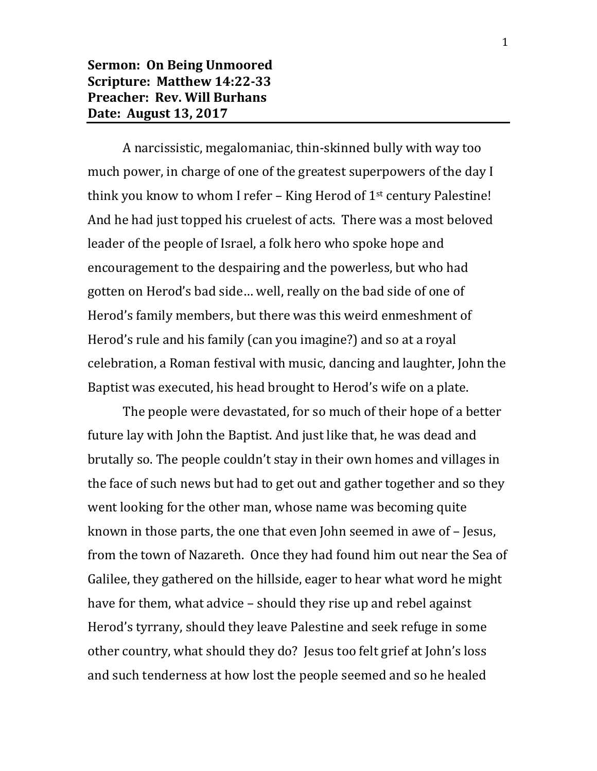**Sermon: On Being Unmoored Scripture: Matthew 14:22-33 Preacher: Rev. Will Burhans Date: August 13, 2017**

A narcissistic, megalomaniac, thin-skinned bully with way too much power, in charge of one of the greatest superpowers of the day I think you know to whom I refer – King Herod of  $1<sup>st</sup>$  century Palestine! And he had just topped his cruelest of acts. There was a most beloved leader of the people of Israel, a folk hero who spoke hope and encouragement to the despairing and the powerless, but who had gotten on Herod's bad side… well, really on the bad side of one of Herod's family members, but there was this weird enmeshment of Herod's rule and his family (can you imagine?) and so at a royal celebration, a Roman festival with music, dancing and laughter, John the Baptist was executed, his head brought to Herod's wife on a plate.

The people were devastated, for so much of their hope of a better future lay with John the Baptist. And just like that, he was dead and brutally so. The people couldn't stay in their own homes and villages in the face of such news but had to get out and gather together and so they went looking for the other man, whose name was becoming quite known in those parts, the one that even John seemed in awe of – Jesus, from the town of Nazareth. Once they had found him out near the Sea of Galilee, they gathered on the hillside, eager to hear what word he might have for them, what advice – should they rise up and rebel against Herod's tyrrany, should they leave Palestine and seek refuge in some other country, what should they do? Jesus too felt grief at John's loss and such tenderness at how lost the people seemed and so he healed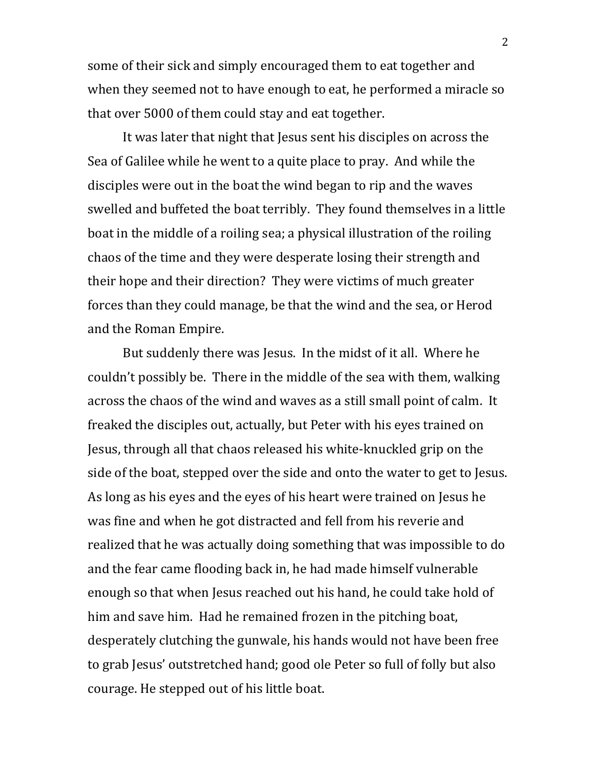some of their sick and simply encouraged them to eat together and when they seemed not to have enough to eat, he performed a miracle so that over 5000 of them could stay and eat together.

It was later that night that Jesus sent his disciples on across the Sea of Galilee while he went to a quite place to pray. And while the disciples were out in the boat the wind began to rip and the waves swelled and buffeted the boat terribly. They found themselves in a little boat in the middle of a roiling sea; a physical illustration of the roiling chaos of the time and they were desperate losing their strength and their hope and their direction? They were victims of much greater forces than they could manage, be that the wind and the sea, or Herod and the Roman Empire.

But suddenly there was Jesus. In the midst of it all. Where he couldn't possibly be. There in the middle of the sea with them, walking across the chaos of the wind and waves as a still small point of calm. It freaked the disciples out, actually, but Peter with his eyes trained on Jesus, through all that chaos released his white-knuckled grip on the side of the boat, stepped over the side and onto the water to get to Jesus. As long as his eyes and the eyes of his heart were trained on Jesus he was fine and when he got distracted and fell from his reverie and realized that he was actually doing something that was impossible to do and the fear came flooding back in, he had made himself vulnerable enough so that when Jesus reached out his hand, he could take hold of him and save him. Had he remained frozen in the pitching boat, desperately clutching the gunwale, his hands would not have been free to grab Jesus' outstretched hand; good ole Peter so full of folly but also courage. He stepped out of his little boat.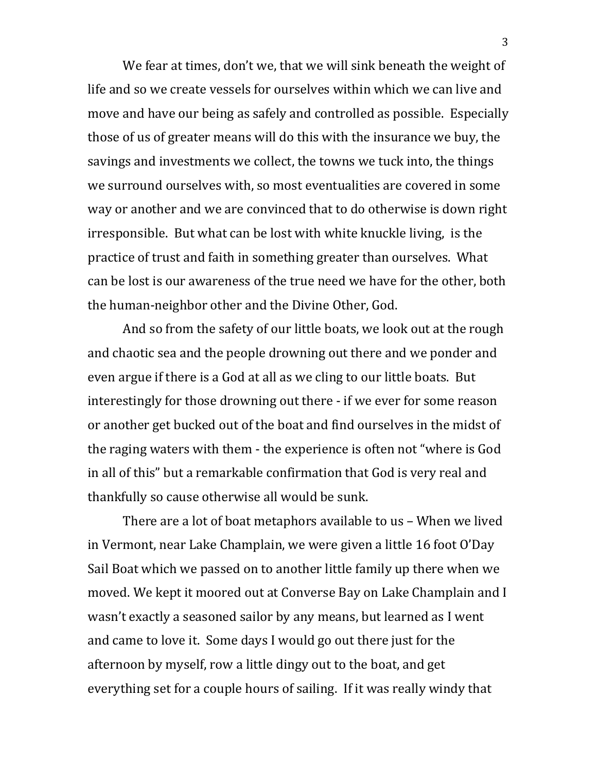We fear at times, don't we, that we will sink beneath the weight of life and so we create vessels for ourselves within which we can live and move and have our being as safely and controlled as possible. Especially those of us of greater means will do this with the insurance we buy, the savings and investments we collect, the towns we tuck into, the things we surround ourselves with, so most eventualities are covered in some way or another and we are convinced that to do otherwise is down right irresponsible. But what can be lost with white knuckle living, is the practice of trust and faith in something greater than ourselves. What can be lost is our awareness of the true need we have for the other, both the human-neighbor other and the Divine Other, God.

And so from the safety of our little boats, we look out at the rough and chaotic sea and the people drowning out there and we ponder and even argue if there is a God at all as we cling to our little boats. But interestingly for those drowning out there - if we ever for some reason or another get bucked out of the boat and find ourselves in the midst of the raging waters with them - the experience is often not "where is God in all of this" but a remarkable confirmation that God is very real and thankfully so cause otherwise all would be sunk.

There are a lot of boat metaphors available to us – When we lived in Vermont, near Lake Champlain, we were given a little 16 foot O'Day Sail Boat which we passed on to another little family up there when we moved. We kept it moored out at Converse Bay on Lake Champlain and I wasn't exactly a seasoned sailor by any means, but learned as I went and came to love it. Some days I would go out there just for the afternoon by myself, row a little dingy out to the boat, and get everything set for a couple hours of sailing. If it was really windy that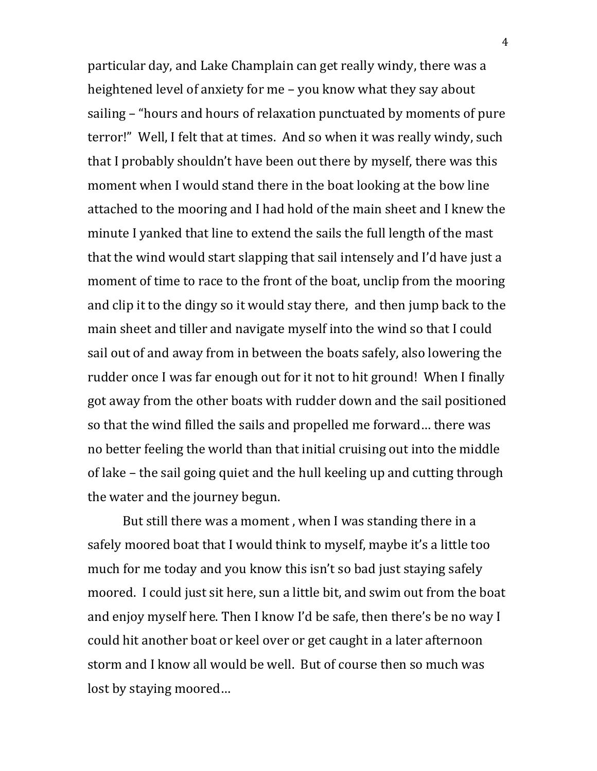particular day, and Lake Champlain can get really windy, there was a heightened level of anxiety for me – you know what they say about sailing – "hours and hours of relaxation punctuated by moments of pure terror!" Well, I felt that at times. And so when it was really windy, such that I probably shouldn't have been out there by myself, there was this moment when I would stand there in the boat looking at the bow line attached to the mooring and I had hold of the main sheet and I knew the minute I yanked that line to extend the sails the full length of the mast that the wind would start slapping that sail intensely and I'd have just a moment of time to race to the front of the boat, unclip from the mooring and clip it to the dingy so it would stay there, and then jump back to the main sheet and tiller and navigate myself into the wind so that I could sail out of and away from in between the boats safely, also lowering the rudder once I was far enough out for it not to hit ground! When I finally got away from the other boats with rudder down and the sail positioned so that the wind filled the sails and propelled me forward… there was no better feeling the world than that initial cruising out into the middle of lake – the sail going quiet and the hull keeling up and cutting through the water and the journey begun.

But still there was a moment , when I was standing there in a safely moored boat that I would think to myself, maybe it's a little too much for me today and you know this isn't so bad just staying safely moored. I could just sit here, sun a little bit, and swim out from the boat and enjoy myself here. Then I know I'd be safe, then there's be no way I could hit another boat or keel over or get caught in a later afternoon storm and I know all would be well. But of course then so much was lost by staying moored…